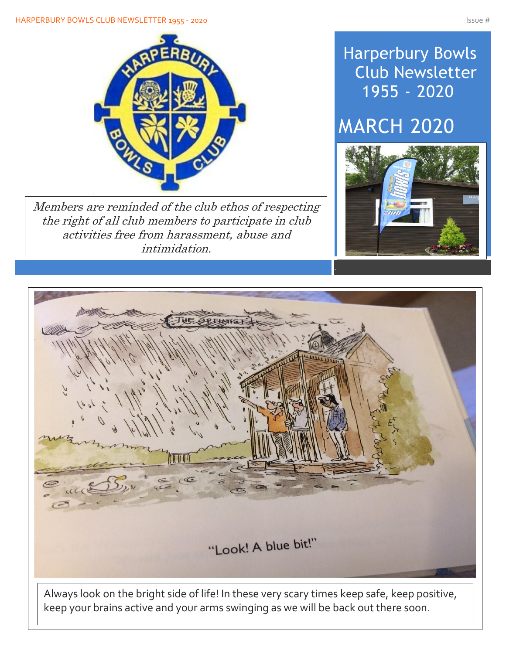#### HARPERBURY BOWLS CLUB NEWSLETTER 1955 - 2020 ISSUE # 1975 - 2020



Members are reminded of the club ethos of respecting the right of all club members to participate in club activities free from harassment, abuse and intimidation.

## Harperbury Bowls Club Newsletter 1955 - 2020

## MARCH 2020





keep your brains active and your arms swinging as we will be back out there soon.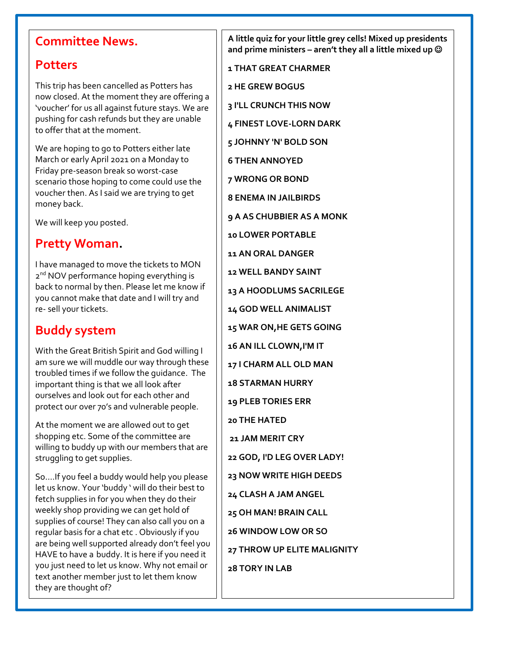### **Committee News.**

#### **Potters**

This trip has been cancelled as Potters has now closed. At the moment they are offering a 'voucher' for us all against future stays. We are pushing for cash refunds but they are unable to offer that at the moment.

We are hoping to go to Potters either late March or early April 2021 on a Monday to Friday pre-season break so worst-case scenario those hoping to come could use the voucher then. As I said we are trying to get money back.

We will keep you posted.

#### **Pretty Woman.**

I have managed to move the tickets to MON 2<sup>nd</sup> NOV performance hoping everything is back to normal by then. Please let me know if you cannot make that date and I will try and re- sell your tickets.

## **Buddy system**

With the Great British Spirit and God willing I am sure we will muddle our way through these troubled times if we follow the guidance. The important thing is that we all look after ourselves and look out for each other and protect our over 70's and vulnerable people.

At the moment we are allowed out to get shopping etc. Some of the committee are willing to buddy up with our members that are struggling to get supplies.

So….If you feel a buddy would help you please let us know. Your 'buddy ' will do their best to fetch supplies in for you when they do their weekly shop providing we can get hold of supplies of course! They can also call you on a regular basis for a chat etc . Obviously if you are being well supported already don't feel you HAVE to have a buddy. It is here if you need it you just need to let us know. Why not email or text another member just to let them know they are thought of?

**A little quiz for your little grey cells! Mixed up presidents and prime ministers – aren't they all a little mixed up** ☺

**1 THAT GREAT CHARMER**

**2 HE GREW BOGUS**

**3 I'LL CRUNCH THIS NOW**

**4 FINEST LOVE-LORN DARK**

**5 JOHNNY 'N' BOLD SON**

**6 THEN ANNOYED**

**7 WRONG OR BOND**

**8 ENEMA IN JAILBIRDS**

**9 A AS CHUBBIER AS A MONK**

**10 LOWER PORTABLE**

**11 AN ORAL DANGER**

**12 WELL BANDY SAINT**

**13 A HOODLUMS SACRILEGE**

**14 GOD WELL ANIMALIST**

**15 WAR ON,HE GETS GOING**

**16 AN ILL CLOWN,I'M IT**

**17 I CHARM ALL OLD MAN**

**18 STARMAN HURRY**

**19 PLEB TORIES ERR**

**20 THE HATED**

**21 JAM MERIT CRY**

**22 GOD, I'D LEG OVER LADY!**

**23 NOW WRITE HIGH DEEDS**

**24 CLASH A JAM ANGEL**

**25 OH MAN! BRAIN CALL**

**26 WINDOW LOW OR SO**

**30 MAD RASCAL MONDAY**

**27 THROW UP ELITE MALIGNITY**

**28 TORY IN LAB**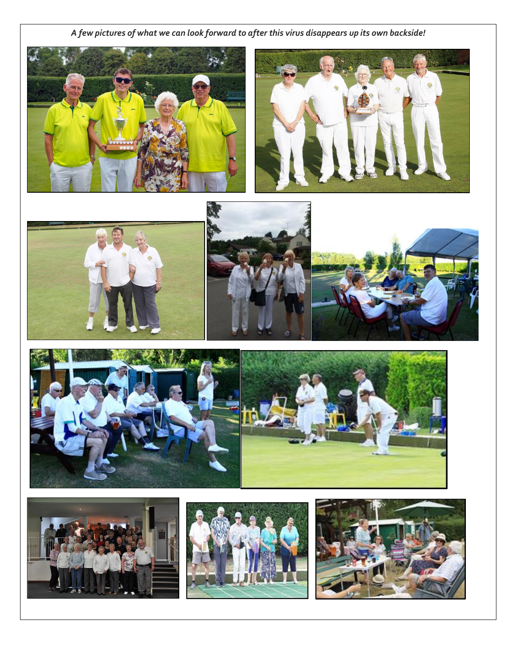*A few pictures of what we can look forward to after this virus disappears up its own backside!*

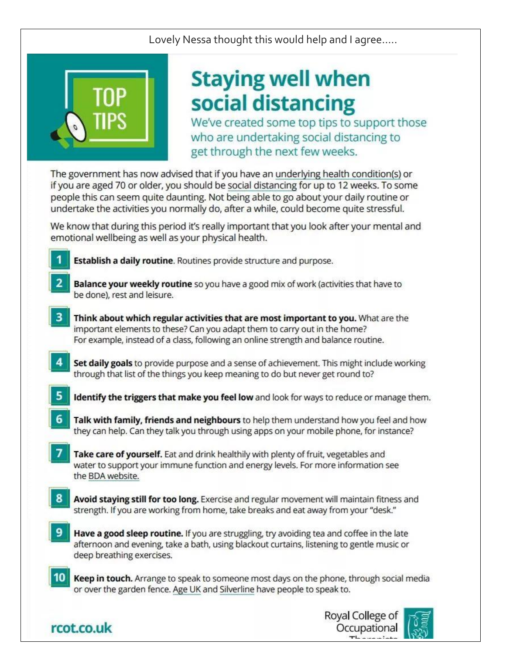Lovely Nessa thought this would help and I agree.....



# **Staying well when** social distancing

We've created some top tips to support those who are undertaking social distancing to get through the next few weeks.

The government has now advised that if you have an underlying health condition(s) or if you are aged 70 or older, you should be social distancing for up to 12 weeks. To some people this can seem quite daunting. Not being able to go about your daily routine or undertake the activities you normally do, after a while, could become quite stressful.

We know that during this period it's really important that you look after your mental and emotional wellbeing as well as your physical health.

Establish a daily routine. Routines provide structure and purpose.

rcot.co.uk

Balance your weekly routine so you have a good mix of work (activities that have to be done), rest and leisure.

- Think about which regular activities that are most important to you. What are the important elements to these? Can you adapt them to carry out in the home? For example, instead of a class, following an online strength and balance routine.
- Set daily goals to provide purpose and a sense of achievement. This might include working through that list of the things you keep meaning to do but never get round to?
- Identify the triggers that make you feel low and look for ways to reduce or manage them.
- Talk with family, friends and neighbours to help them understand how you feel and how they can help. Can they talk you through using apps on your mobile phone, for instance?
- Take care of yourself. Eat and drink healthily with plenty of fruit, vegetables and water to support your immune function and energy levels. For more information see the BDA website.
- Avoid staying still for too long. Exercise and regular movement will maintain fitness and strength. If you are working from home, take breaks and eat away from your "desk."
- Have a good sleep routine. If you are struggling, try avoiding tea and coffee in the late afternoon and evening, take a bath, using blackout curtains, listening to gentle music or deep breathing exercises.
- $10<sup>1</sup>$ Keep in touch. Arrange to speak to someone most days on the phone, through social media or over the garden fence. Age UK and Silverline have people to speak to.



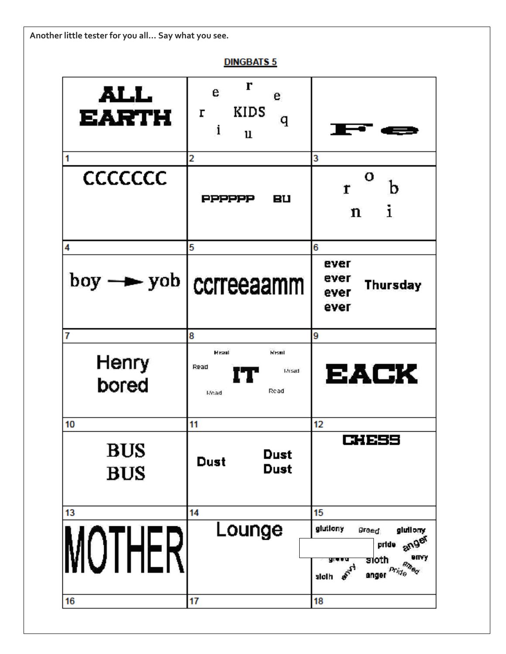**Another little tester for you all… Say what you see.**

**DINGBATS 5** 

| ALL<br><b>EARTH</b>            | r<br>e<br>e<br>KIDS<br>r<br>q<br>i<br>u<br>2                        | 3                                                                                                                                        |
|--------------------------------|---------------------------------------------------------------------|------------------------------------------------------------------------------------------------------------------------------------------|
| 1<br><b>CCCCCCC</b>            | <b>PPPPPP</b><br>вu                                                 | о<br>b<br>r<br>i<br>n                                                                                                                    |
| 4<br>$boy \rightarrow yob$     | 5<br>ccrreeaamm                                                     | 6<br>ever<br>ever<br>Thursday<br>ever<br>ever                                                                                            |
| 7<br>Henry<br>bored            | 8<br><b>Read</b><br><b>Read</b><br>Read<br>Lease U.<br>Read<br>Moad | 9<br>EACK                                                                                                                                |
| 10<br><b>BUS</b><br><b>BUS</b> | 11<br>Dust<br>Dust<br>Dust                                          | 12<br>61655                                                                                                                              |
| 13<br><b>IUTHER</b><br>16      | 14<br>Lounge<br>17                                                  | 15<br>glutiony<br>gluilony<br>greed.<br>anger<br>pride<br>envy<br><b>sioth</b><br>an <sub>ta d</sub><br>$Pr_{Q}$<br>anger<br>sloth<br>18 |